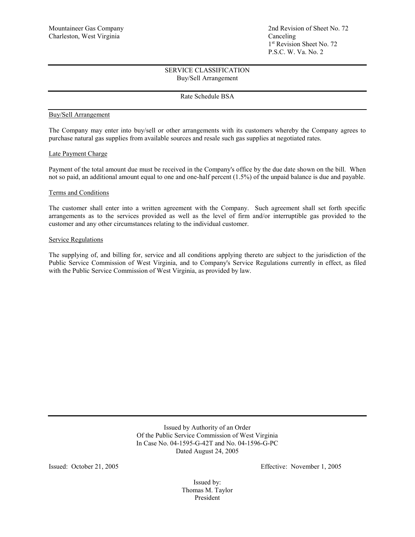# SERVICE CLASSIFICATION Buy/Sell Arrangement

## Rate Schedule BSA

### Buy/Sell Arrangement

The Company may enter into buy/sell or other arrangements with its customers whereby the Company agrees to purchase natural gas supplies from available sources and resale such gas supplies at negotiated rates.

#### Late Payment Charge

Payment of the total amount due must be received in the Company's office by the due date shown on the bill. When not so paid, an additional amount equal to one and one-half percent (1.5%) of the unpaid balance is due and payable.

## Terms and Conditions

The customer shall enter into a written agreement with the Company. Such agreement shall set forth specific arrangements as to the services provided as well as the level of firm and/or interruptible gas provided to the customer and any other circumstances relating to the individual customer.

#### Service Regulations

The supplying of, and billing for, service and all conditions applying thereto are subject to the jurisdiction of the Public Service Commission of West Virginia, and to Company's Service Regulations currently in effect, as filed with the Public Service Commission of West Virginia, as provided by law.

> Issued by Authority of an Order Of the Public Service Commission of West Virginia In Case No. 04-1595-G-42T and No. 04-1596-G-PC Dated August 24, 2005

Issued: October 21, 2005 Effective: November 1, 2005

Issued by: Thomas M. Taylor President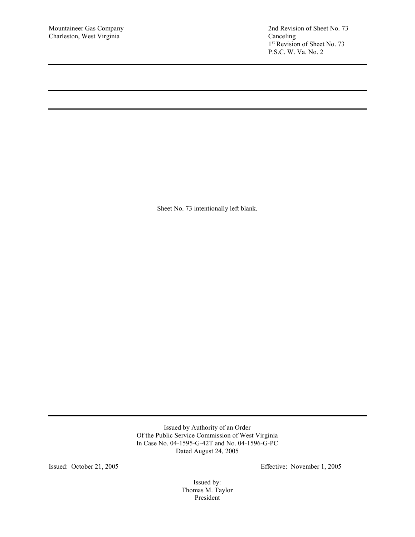Mountaineer Gas Company 2nd Revision of Sheet No. 73<br>Charleston, West Virginia Canceling Canceling 1st Revision of Sheet No. 73 P.S.C. W. Va. No. 2

Sheet No. 73 intentionally left blank.

Issued by Authority of an Order Of the Public Service Commission of West Virginia In Case No. 04-1595-G-42T and No. 04-1596-G-PC Dated August 24, 2005

Issued: October 21, 2005 Effective: November 1, 2005

Issued by: Thomas M. Taylor President